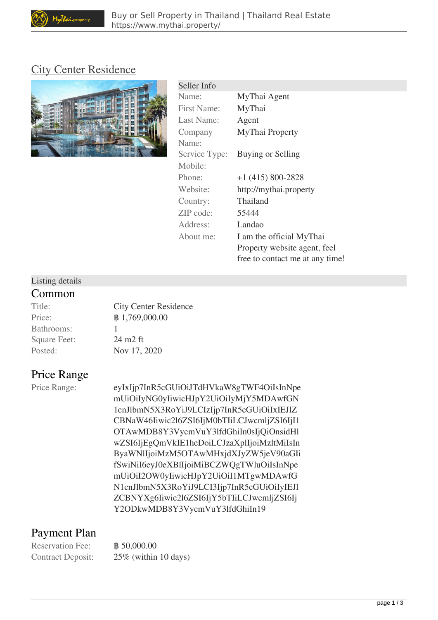## [City Center Residence](https://www.mythai.property/find-buy-property/condo/city-center-residence-21.html)



| Seller Info        |                                 |
|--------------------|---------------------------------|
| Name:              | MyThai Agent                    |
| <b>First Name:</b> | MyThai                          |
| Last Name:         | Agent                           |
| Company            | MyThai Property                 |
| Name:              |                                 |
| Service Type:      | Buying or Selling               |
| Mobile:            |                                 |
| Phone:             | $+1$ (415) 800-2828             |
| Website:           | http://mythai.property          |
| Country:           | Thailand                        |
| ZIP code:          | 55444                           |
| Address:           | Landao                          |
| About me:          | I am the official MyThai        |
|                    | Property website agent, feel    |
|                    | free to contact me at any time! |

### Listing details

### **Common**

| Title:              | City Cer                      |
|---------------------|-------------------------------|
| Price:              |                               |
| Bathrooms:          |                               |
| <b>Square Feet:</b> | $24 \text{ m}$ $2 \text{ ft}$ |
| Posted:             | Nov 17,                       |

Center Residence 69,000.00 17, 2020

# **Price Range**

Price Range: eyIxIjp7InR5cGUiOiJTdHVkaW8gTWF4OiIsInNpe mUiOiIyNG0yIiwicHJpY2UiOiIyMjY5MDAwfGN 1cnJlbmN5X3RoYiJ9LCIzIjp7InR5cGUiOiIxIEJlZ CBNaW46Iiwic2l6ZSI6IjM0bTIiLCJwcmljZSI6IjI1 OTAwMDB8Y3VycmVuY3lfdGhiIn0sIjQiOnsidHl wZSI6IjEgQmVkIE1heDoiLCJzaXplIjoiMzltMiIsIn ByaWNlIjoiMzM5OTAwMHxjdXJyZW5jeV90aGIi fSwiNiI6eyJ0eXBlIjoiMiBCZWQgTWluOiIsInNpe mUiOiI2OW0yIiwicHJpY2UiOiI1MTgwMDAwfG N1cnJlbmN5X3RoYiJ9LCI3Ijp7InR5cGUiOiIyIEJl ZCBNYXg6Iiwic2l6ZSI6IjY5bTIiLCJwcmljZSI6Ij Y2ODkwMDB8Y3VycmVuY3lfdGhiIn19

# **Payment Plan**

Reservation Fee:  $\mathbb{B}$  50,000.00

Contract Deposit: 25% (within 10 days)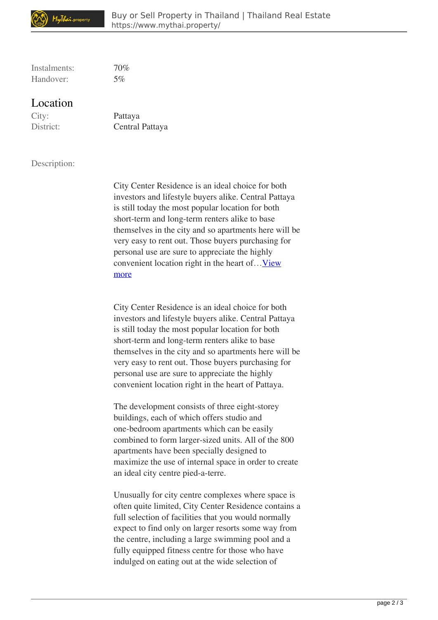

Instalments: 70% Handover: 5%

### **Location**

City: Pattaya

District: Central Pattaya

#### Description:

City Center Residence is an ideal choice for both investors and lifestyle buyers alike. Central Pattaya is still today the most popular location for both short-term and long-term renters alike to base themselves in the city and so apartments here will be very easy to rent out. Those buyers purchasing for personal use are sure to appreciate the highly convenient location right in the heart of... View more

City Center Residence is an ideal choice for both investors and lifestyle buyers alike. Central Pattaya is still today the most popular location for both short-term and long-term renters alike to base themselves in the city and so apartments here will be very easy to rent out. Those buyers purchasing for personal use are sure to appreciate the highly convenient location right in the heart of Pattaya.

The development consists of three eight-storey buildings, each of which offers studio and one-bedroom apartments which can be easily combined to form larger-sized units. All of the 800 apartments have been specially designed to maximize the use of internal space in order to create an ideal city centre pied-a-terre.

Unusually for city centre complexes where space is often quite limited, City Center Residence contains a full selection of facilities that you would normally expect to find only on larger resorts some way from the centre, including a large swimming pool and a fully equipped fitness centre for those who have indulged on eating out at the wide selection of